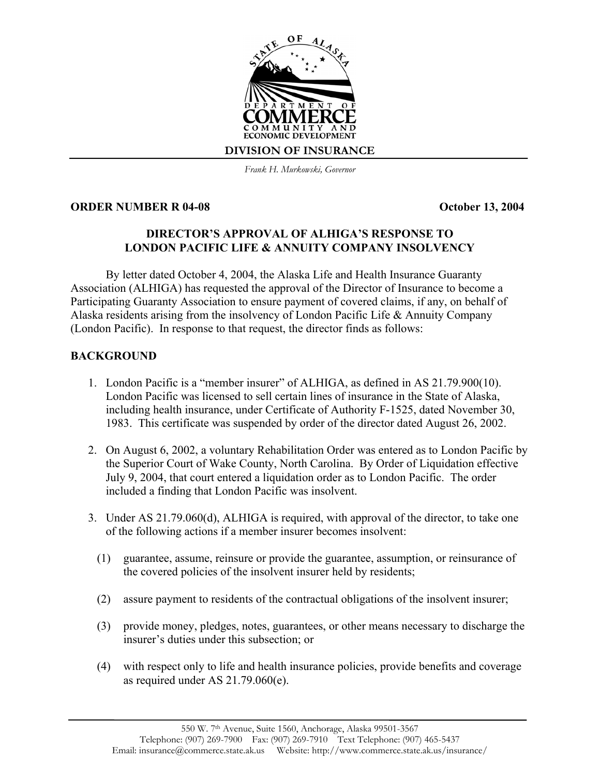

*Frank H. Murkowski, Governor*

## **ORDER NUMBER R 04-08 CONDER 13, 2004**

## **DIRECTOR'S APPROVAL OF ALHIGA'S RESPONSE TO LONDON PACIFIC LIFE & ANNUITY COMPANY INSOLVENCY**

By letter dated October 4, 2004, the Alaska Life and Health Insurance Guaranty Association (ALHIGA) has requested the approval of the Director of Insurance to become a Participating Guaranty Association to ensure payment of covered claims, if any, on behalf of Alaska residents arising from the insolvency of London Pacific Life & Annuity Company (London Pacific). In response to that request, the director finds as follows:

## **BACKGROUND**

- 1. London Pacific is a "member insurer" of ALHIGA, as defined in AS 21.79.900(10). London Pacific was licensed to sell certain lines of insurance in the State of Alaska, including health insurance, under Certificate of Authority F-1525, dated November 30, 1983. This certificate was suspended by order of the director dated August 26, 2002.
- 2. On August 6, 2002, a voluntary Rehabilitation Order was entered as to London Pacific by the Superior Court of Wake County, North Carolina. By Order of Liquidation effective July 9, 2004, that court entered a liquidation order as to London Pacific. The order included a finding that London Pacific was insolvent.
- 3. Under AS 21.79.060(d), ALHIGA is required, with approval of the director, to take one of the following actions if a member insurer becomes insolvent:
	- (1) guarantee, assume, reinsure or provide the guarantee, assumption, or reinsurance of the covered policies of the insolvent insurer held by residents;
	- (2) assure payment to residents of the contractual obligations of the insolvent insurer;
	- (3) provide money, pledges, notes, guarantees, or other means necessary to discharge the insurer's duties under this subsection; or
	- (4) with respect only to life and health insurance policies, provide benefits and coverage as required under AS 21.79.060(e).